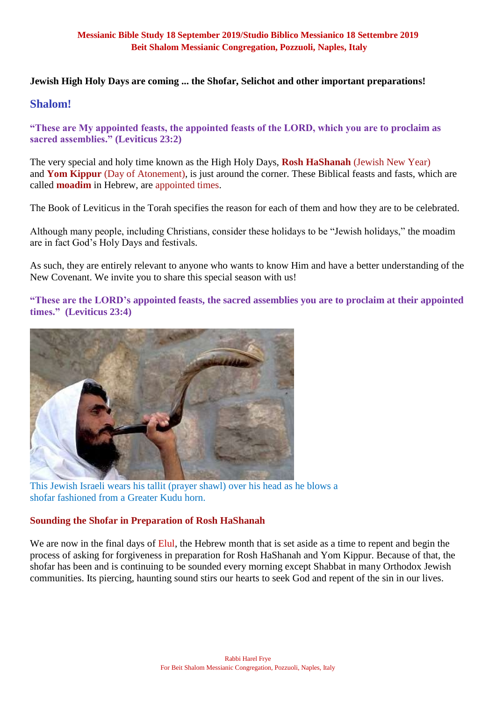#### **Jewish High Holy Days are coming ... the Shofar, Selichot and other important preparations!**

## **Shalom!**

**"These are My appointed feasts, the appointed feasts of the LORD, which you are to proclaim as sacred assemblies." (Leviticus 23:2)**

The very special and holy time known as the High Holy Days, **Rosh HaShanah** (Jewish New Year) and **Yom Kippur** (Day of Atonement), is just around the corner. These Biblical feasts and fasts, which are called **moadim** in Hebrew, are appointed times.

The Book of Leviticus in the Torah specifies the reason for each of them and how they are to be celebrated.

Although many people, including Christians, consider these holidays to be "Jewish holidays," the moadim are in fact God's Holy Days and festivals.

As such, they are entirely relevant to anyone who wants to know Him and have a better understanding of the New Covenant. We invite you to share this special season with us!

**"These are the LORD's appointed feasts, the sacred assemblies you are to proclaim at their appointed times." (Leviticus 23:4)**



This Jewish Israeli wears his tallit (prayer shawl) over his head as he blows a shofar fashioned from a Greater Kudu horn.

### **Sounding the Shofar in Preparation of Rosh HaShanah**

We are now in the final days of Elul, the Hebrew month that is set aside as a time to repent and begin the process of asking for forgiveness in preparation for Rosh HaShanah and Yom Kippur. Because of that, the shofar has been and is continuing to be sounded every morning except Shabbat in many Orthodox Jewish communities. Its piercing, haunting sound stirs our hearts to seek God and repent of the sin in our lives.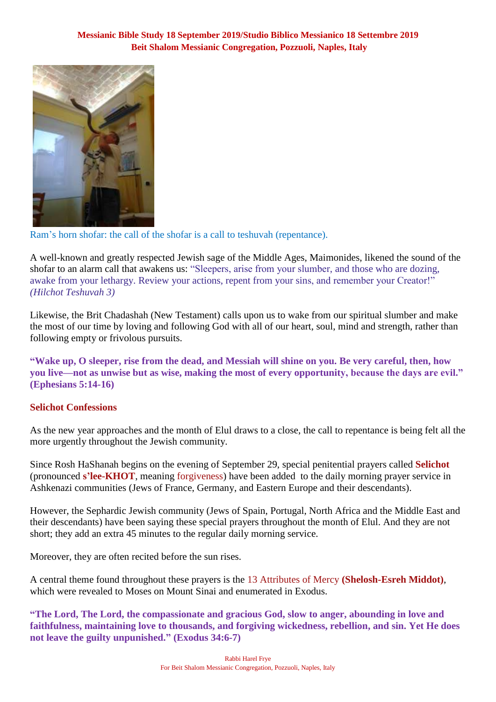

Ram's horn shofar: the call of the shofar is a call to teshuvah (repentance).

A well-known and greatly respected Jewish sage of the Middle Ages, Maimonides, likened the sound of the shofar to an alarm call that awakens us: "Sleepers, arise from your slumber, and those who are dozing, awake from your lethargy. Review your actions, repent from your sins, and remember your Creator!" *(Hilchot Teshuvah 3)*

Likewise, the Brit Chadashah (New Testament) calls upon us to wake from our spiritual slumber and make the most of our time by loving and following God with all of our heart, soul, mind and strength, rather than following empty or frivolous pursuits.

**"Wake up, O sleeper, rise from the dead, and Messiah will shine on you. Be very careful, then, how you live—not as unwise but as wise, making the most of every opportunity, because the days are evil." (Ephesians 5:14-16)**

### **Selichot Confessions**

As the new year approaches and the month of Elul draws to a close, the call to repentance is being felt all the more urgently throughout the Jewish community.

Since Rosh HaShanah begins on the evening of September 29, special penitential prayers called **Selichot** (pronounced **s'lee-KHOT**, meaning forgiveness) have been added to the daily morning prayer service in Ashkenazi communities (Jews of France, Germany, and Eastern Europe and their descendants).

However, the Sephardic Jewish community (Jews of Spain, Portugal, North Africa and the Middle East and their descendants) have been saying these special prayers throughout the month of Elul. And they are not short; they add an extra 45 minutes to the regular daily morning service.

Moreover, they are often recited before the sun rises.

A central theme found throughout these prayers is the 13 Attributes of Mercy **(Shelosh-Esreh Middot)**, which were revealed to Moses on Mount Sinai and enumerated in Exodus.

**"The Lord, The Lord, the compassionate and gracious God, slow to anger, abounding in love and faithfulness, maintaining love to thousands, and forgiving wickedness, rebellion, and sin. Yet He does not leave the guilty unpunished." (Exodus 34:6-7)**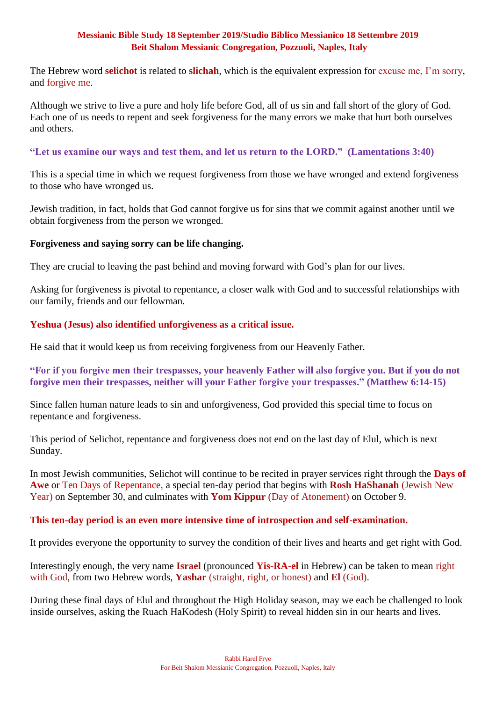The Hebrew word **selichot** is related to **slichah**, which is the equivalent expression for excuse me, I'm sorry, and forgive me.

Although we strive to live a pure and holy life before God, all of us sin and fall short of the glory of God. Each one of us needs to repent and seek forgiveness for the many errors we make that hurt both ourselves and others.

#### **"Let us examine our ways and test them, and let us return to the LORD." (Lamentations 3:40)**

This is a special time in which we request forgiveness from those we have wronged and extend forgiveness to those who have wronged us.

Jewish tradition, in fact, holds that God cannot forgive us for sins that we commit against another until we obtain forgiveness from the person we wronged.

#### **Forgiveness and saying sorry can be life changing.**

They are crucial to leaving the past behind and moving forward with God's plan for our lives.

Asking for forgiveness is pivotal to repentance, a closer walk with God and to successful relationships with our family, friends and our fellowman.

#### **Yeshua (Jesus) also identified unforgiveness as a critical issue.**

He said that it would keep us from receiving forgiveness from our Heavenly Father.

**"For if you forgive men their trespasses, your heavenly Father will also forgive you. But if you do not forgive men their trespasses, neither will your Father forgive your trespasses." (Matthew 6:14-15)**

Since fallen human nature leads to sin and unforgiveness, God provided this special time to focus on repentance and forgiveness.

This period of Selichot, repentance and forgiveness does not end on the last day of Elul, which is next Sunday.

In most Jewish communities, Selichot will continue to be recited in prayer services right through the **Days of Awe** or Ten Days of Repentance, a special ten-day period that begins with **Rosh HaShanah** (Jewish New Year) on September 30, and culminates with **Yom Kippur** (Day of Atonement) on October 9.

#### **This ten-day period is an even more intensive time of introspection and self-examination.**

It provides everyone the opportunity to survey the condition of their lives and hearts and get right with God.

Interestingly enough, the very name **Israel** (pronounced **Yis-RA-el** in Hebrew) can be taken to mean right with God, from two Hebrew words, **Yashar** (straight, right, or honest) and **El** (God).

During these final days of Elul and throughout the High Holiday season, may we each be challenged to look inside ourselves, asking the Ruach HaKodesh (Holy Spirit) to reveal hidden sin in our hearts and lives.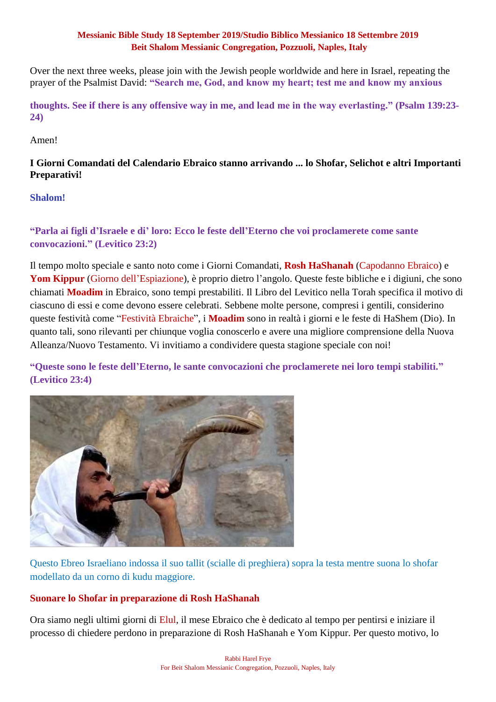Over the next three weeks, please join with the Jewish people worldwide and here in Israel, repeating the prayer of the Psalmist David: **"Search me, God, and know my heart; test me and know my anxious** 

**thoughts. See if there is any offensive way in me, and lead me in the way everlasting." (Psalm 139:23- 24)**

Amen!

## **I Giorni Comandati del Calendario Ebraico stanno arrivando ... lo Shofar, Selichot e altri Importanti Preparativi!**

### **Shalom!**

## **"Parla ai figli d'Israele e di' loro: Ecco le feste dell'Eterno che voi proclamerete come sante convocazioni." (Levitico 23:2)**

Il tempo molto speciale e santo noto come i Giorni Comandati, **Rosh HaShanah** (Capodanno Ebraico) e **Yom Kippur** (Giorno dell'Espiazione), è proprio dietro l'angolo. Queste feste bibliche e i digiuni, che sono chiamati **Moadim** in Ebraico, sono tempi prestabiliti. Il Libro del Levitico nella Torah specifica il motivo di ciascuno di essi e come devono essere celebrati. Sebbene molte persone, compresi i gentili, considerino queste festività come "Festività Ebraiche", i **Moadim** sono in realtà i giorni e le feste di HaShem (Dio). In quanto tali, sono rilevanti per chiunque voglia conoscerlo e avere una migliore comprensione della Nuova Alleanza/Nuovo Testamento. Vi invitiamo a condividere questa stagione speciale con noi!

**"Queste sono le feste dell'Eterno, le sante convocazioni che proclamerete nei loro tempi stabiliti." (Levitico 23:4)**



Questo Ebreo Israeliano indossa il suo tallit (scialle di preghiera) sopra la testa mentre suona lo shofar modellato da un corno di kudu maggiore.

### **Suonare lo Shofar in preparazione di Rosh HaShanah**

Ora siamo negli ultimi giorni di Elul, il mese Ebraico che è dedicato al tempo per pentirsi e iniziare il processo di chiedere perdono in preparazione di Rosh HaShanah e Yom Kippur. Per questo motivo, lo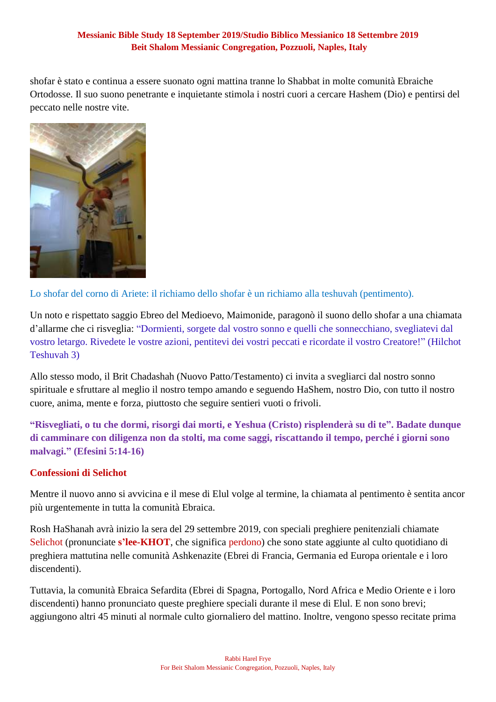shofar è stato e continua a essere suonato ogni mattina tranne lo Shabbat in molte comunità Ebraiche Ortodosse. Il suo suono penetrante e inquietante stimola i nostri cuori a cercare Hashem (Dio) e pentirsi del peccato nelle nostre vite.



Lo shofar del corno di Ariete: il richiamo dello shofar è un richiamo alla teshuvah (pentimento).

Un noto e rispettato saggio Ebreo del Medioevo, Maimonide, paragonò il suono dello shofar a una chiamata d'allarme che ci risveglia: "Dormienti, sorgete dal vostro sonno e quelli che sonnecchiano, svegliatevi dal vostro letargo. Rivedete le vostre azioni, pentitevi dei vostri peccati e ricordate il vostro Creatore!" (Hilchot Teshuvah 3)

Allo stesso modo, il Brit Chadashah (Nuovo Patto/Testamento) ci invita a svegliarci dal nostro sonno spirituale e sfruttare al meglio il nostro tempo amando e seguendo HaShem, nostro Dio, con tutto il nostro cuore, anima, mente e forza, piuttosto che seguire sentieri vuoti o frivoli.

**"Risvegliati, o tu che dormi, risorgi dai morti, e Yeshua (Cristo) risplenderà su di te". Badate dunque di camminare con diligenza non da stolti, ma come saggi, riscattando il tempo, perché i giorni sono malvagi." (Efesini 5:14-16)**

### **Confessioni di Selichot**

Mentre il nuovo anno si avvicina e il mese di Elul volge al termine, la chiamata al pentimento è sentita ancor più urgentemente in tutta la comunità Ebraica.

Rosh HaShanah avrà inizio la sera del 29 settembre 2019, con speciali preghiere penitenziali chiamate Selichot (pronunciate **s'lee-KHOT**, che significa perdono) che sono state aggiunte al culto quotidiano di preghiera mattutina nelle comunità Ashkenazite (Ebrei di Francia, Germania ed Europa orientale e i loro discendenti).

Tuttavia, la comunità Ebraica Sefardita (Ebrei di Spagna, Portogallo, Nord Africa e Medio Oriente e i loro discendenti) hanno pronunciato queste preghiere speciali durante il mese di Elul. E non sono brevi; aggiungono altri 45 minuti al normale culto giornaliero del mattino. Inoltre, vengono spesso recitate prima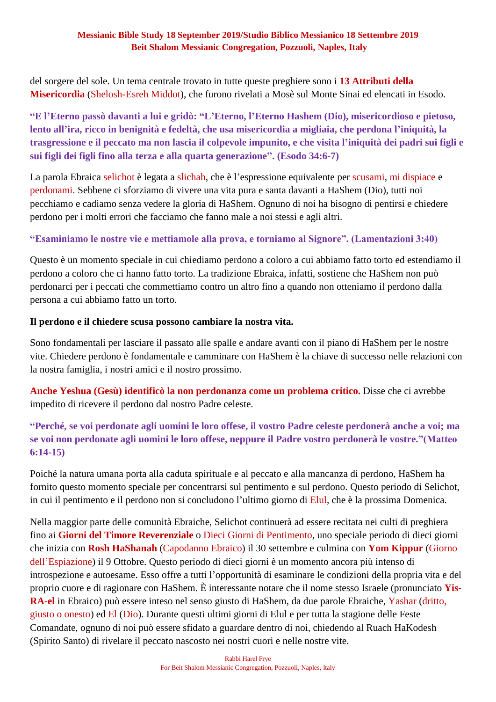del sorgere del sole. Un tema centrale trovato in tutte queste preghiere sono i **13 Attributi della Misericordia** (Shelosh-Esreh Middot), che furono rivelati a Mosè sul Monte Sinai ed elencati in Esodo.

**"E l'Eterno passò davanti a lui e gridò: "L'Eterno, l'Eterno Hashem (Dio), misericordioso e pietoso, lento all'ira, ricco in benignità e fedeltà, che usa misericordia a migliaia, che perdona l'iniquità, la trasgressione e il peccato ma non lascia il colpevole impunito, e che visita l'iniquità dei padri sui figli e sui figli dei figli fino alla terza e alla quarta generazione". (Esodo 34:6-7)**

La parola Ebraica selichot è legata a slichah, che è l'espressione equivalente per scusami, mi dispiace e perdonami. Sebbene ci sforziamo di vivere una vita pura e santa davanti a HaShem (Dio), tutti noi pecchiamo e cadiamo senza vedere la gloria di HaShem. Ognuno di noi ha bisogno di pentirsi e chiedere perdono per i molti errori che facciamo che fanno male a noi stessi e agli altri.

## **"Esaminiamo le nostre vie e mettiamole alla prova, e torniamo al Signore". (Lamentazioni 3:40)**

Questo è un momento speciale in cui chiediamo perdono a coloro a cui abbiamo fatto torto ed estendiamo il perdono a coloro che ci hanno fatto torto. La tradizione Ebraica, infatti, sostiene che HaShem non può perdonarci per i peccati che commettiamo contro un altro fino a quando non otteniamo il perdono dalla persona a cui abbiamo fatto un torto.

### **Il perdono e il chiedere scusa possono cambiare la nostra vita.**

Sono fondamentali per lasciare il passato alle spalle e andare avanti con il piano di HaShem per le nostre vite. Chiedere perdono è fondamentale e camminare con HaShem è la chiave di successo nelle relazioni con la nostra famiglia, i nostri amici e il nostro prossimo.

**Anche Yeshua (Gesù) identificò la non perdonanza come un problema critico.** Disse che ci avrebbe impedito di ricevere il perdono dal nostro Padre celeste.

# **"Perché, se voi perdonate agli uomini le loro offese, il vostro Padre celeste perdonerà anche a voi; ma se voi non perdonate agli uomini le loro offese, neppure il Padre vostro perdonerà le vostre."(Matteo 6:14-15)**

Poiché la natura umana porta alla caduta spirituale e al peccato e alla mancanza di perdono, HaShem ha fornito questo momento speciale per concentrarsi sul pentimento e sul perdono. Questo periodo di Selichot, in cui il pentimento e il perdono non si concludono l'ultimo giorno di Elul, che è la prossima Domenica.

Nella maggior parte delle comunità Ebraiche, Selichot continuerà ad essere recitata nei culti di preghiera fino ai **Giorni del Timore Reverenziale** o Dieci Giorni di Pentimento, uno speciale periodo di dieci giorni che inizia con **Rosh HaShanah** (Capodanno Ebraico) il 30 settembre e culmina con **Yom Kippur** (Giorno dell'Espiazione) il 9 Ottobre. Questo periodo di dieci giorni è un momento ancora più intenso di introspezione e autoesame. Esso offre a tutti l'opportunità di esaminare le condizioni della propria vita e del proprio cuore e di ragionare con HaShem. È interessante notare che il nome stesso Israele (pronunciato **Yis-RA-el** in Ebraico) può essere inteso nel senso giusto di HaShem, da due parole Ebraiche, Yashar (dritto, giusto o onesto) ed El (Dio). Durante questi ultimi giorni di Elul e per tutta la stagione delle Feste Comandate, ognuno di noi può essere sfidato a guardare dentro di noi, chiedendo al Ruach HaKodesh (Spirito Santo) di rivelare il peccato nascosto nei nostri cuori e nelle nostre vite.